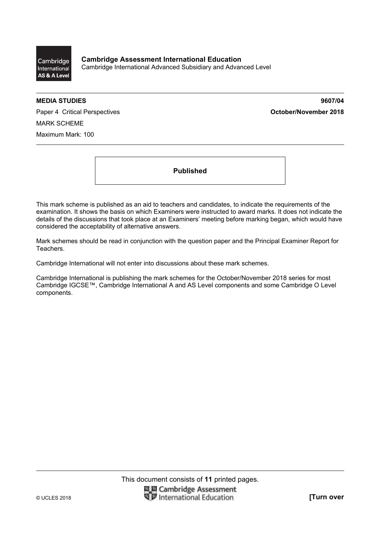

**MEDIA STUDIES 9607/04** 

Paper 4 Critical Perspectives **Container 2018 October/November 2018** MARK SCHEME Maximum Mark: 100

**Published** 

This mark scheme is published as an aid to teachers and candidates, to indicate the requirements of the examination. It shows the basis on which Examiners were instructed to award marks. It does not indicate the details of the discussions that took place at an Examiners' meeting before marking began, which would have considered the acceptability of alternative answers.

Mark schemes should be read in conjunction with the question paper and the Principal Examiner Report for Teachers.

Cambridge International will not enter into discussions about these mark schemes.

Cambridge International is publishing the mark schemes for the October/November 2018 series for most Cambridge IGCSE™, Cambridge International A and AS Level components and some Cambridge O Level components.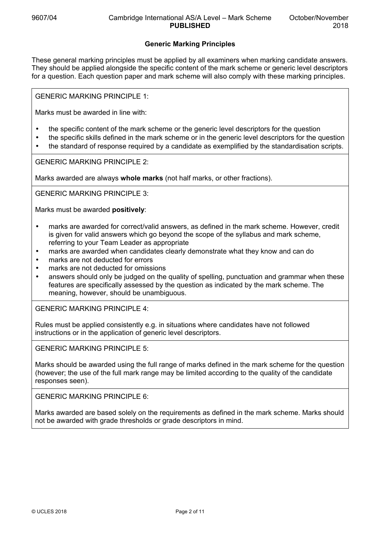## **Generic Marking Principles**

These general marking principles must be applied by all examiners when marking candidate answers. They should be applied alongside the specific content of the mark scheme or generic level descriptors for a question. Each question paper and mark scheme will also comply with these marking principles.

GENERIC MARKING PRINCIPLE 1:

Marks must be awarded in line with:

- the specific content of the mark scheme or the generic level descriptors for the question
- the specific skills defined in the mark scheme or in the generic level descriptors for the question
- the standard of response required by a candidate as exemplified by the standardisation scripts.

GENERIC MARKING PRINCIPLE 2:

Marks awarded are always **whole marks** (not half marks, or other fractions).

GENERIC MARKING PRINCIPLE 3:

Marks must be awarded **positively**:

- marks are awarded for correct/valid answers, as defined in the mark scheme. However, credit is given for valid answers which go beyond the scope of the syllabus and mark scheme, referring to your Team Leader as appropriate
- marks are awarded when candidates clearly demonstrate what they know and can do
- marks are not deducted for errors
- marks are not deducted for omissions
- answers should only be judged on the quality of spelling, punctuation and grammar when these features are specifically assessed by the question as indicated by the mark scheme. The meaning, however, should be unambiguous.

GENERIC MARKING PRINCIPLE 4:

Rules must be applied consistently e.g. in situations where candidates have not followed instructions or in the application of generic level descriptors.

GENERIC MARKING PRINCIPLE 5:

Marks should be awarded using the full range of marks defined in the mark scheme for the question (however; the use of the full mark range may be limited according to the quality of the candidate responses seen).

GENERIC MARKING PRINCIPLE 6:

Marks awarded are based solely on the requirements as defined in the mark scheme. Marks should not be awarded with grade thresholds or grade descriptors in mind.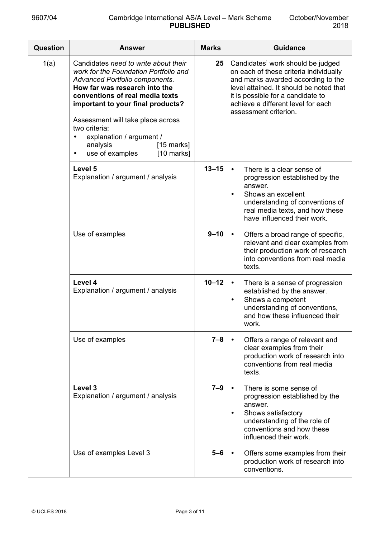| Question | <b>Answer</b>                                                                                                                                                                                                                                                                                                                                                                          | <b>Marks</b> | <b>Guidance</b>                                                                                                                                                                                                                                                  |
|----------|----------------------------------------------------------------------------------------------------------------------------------------------------------------------------------------------------------------------------------------------------------------------------------------------------------------------------------------------------------------------------------------|--------------|------------------------------------------------------------------------------------------------------------------------------------------------------------------------------------------------------------------------------------------------------------------|
| 1(a)     | Candidates need to write about their<br>work for the Foundation Portfolio and<br>Advanced Portfolio components.<br>How far was research into the<br>conventions of real media texts<br>important to your final products?<br>Assessment will take place across<br>two criteria:<br>explanation / argument /<br>$[15$ marks]<br>analysis<br>use of examples<br>$[10$ marks]<br>$\bullet$ | 25           | Candidates' work should be judged<br>on each of these criteria individually<br>and marks awarded according to the<br>level attained. It should be noted that<br>it is possible for a candidate to<br>achieve a different level for each<br>assessment criterion. |
|          | Level 5<br>Explanation / argument / analysis                                                                                                                                                                                                                                                                                                                                           | $13 - 15$    | There is a clear sense of<br>progression established by the<br>answer.<br>Shows an excellent<br>understanding of conventions of<br>real media texts, and how these<br>have influenced their work.                                                                |
|          | Use of examples                                                                                                                                                                                                                                                                                                                                                                        | $9 - 10$     | Offers a broad range of specific,<br>$\bullet$<br>relevant and clear examples from<br>their production work of research<br>into conventions from real media<br>texts.                                                                                            |
|          | Level 4<br>Explanation / argument / analysis                                                                                                                                                                                                                                                                                                                                           | $10 - 12$    | There is a sense of progression<br>$\bullet$<br>established by the answer.<br>Shows a competent<br>$\bullet$<br>understanding of conventions,<br>and how these influenced their<br>work.                                                                         |
|          | Use of examples                                                                                                                                                                                                                                                                                                                                                                        | $7 - 8$      | Offers a range of relevant and<br>clear examples from their<br>production work of research into<br>conventions from real media<br>texts.                                                                                                                         |
|          | Level 3<br>Explanation / argument / analysis                                                                                                                                                                                                                                                                                                                                           | $7 - 9$      | There is some sense of<br>progression established by the<br>answer.<br>Shows satisfactory<br>$\bullet$<br>understanding of the role of<br>conventions and how these<br>influenced their work.                                                                    |
|          | Use of examples Level 3                                                                                                                                                                                                                                                                                                                                                                | $5 - 6$      | Offers some examples from their<br>production work of research into<br>conventions.                                                                                                                                                                              |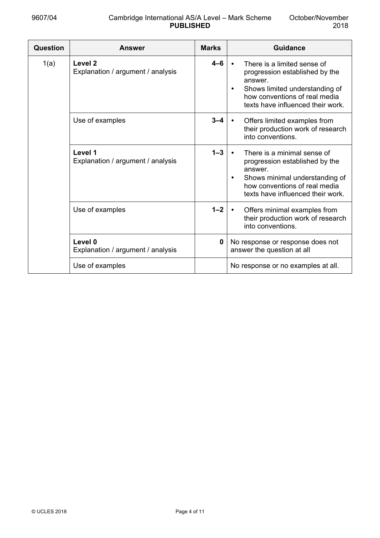| Question | <b>Answer</b>                                           | <b>Marks</b> | <b>Guidance</b>                                                                                                                                                                               |
|----------|---------------------------------------------------------|--------------|-----------------------------------------------------------------------------------------------------------------------------------------------------------------------------------------------|
| 1(a)     | Level <sub>2</sub><br>Explanation / argument / analysis | 4–6          | There is a limited sense of<br>progression established by the<br>answer.<br>Shows limited understanding of<br>how conventions of real media<br>texts have influenced their work.              |
|          | Use of examples                                         | $3 - 4$      | Offers limited examples from<br>their production work of research<br>into conventions.                                                                                                        |
|          | Level 1<br>Explanation / argument / analysis            | $1 - 3$      | There is a minimal sense of<br>progression established by the<br>answer.<br>Shows minimal understanding of<br>$\bullet$<br>how conventions of real media<br>texts have influenced their work. |
|          | Use of examples                                         | $1 - 2$      | Offers minimal examples from<br>their production work of research<br>into conventions.                                                                                                        |
|          | Level 0<br>Explanation / argument / analysis            | 0            | No response or response does not<br>answer the question at all                                                                                                                                |
|          | Use of examples                                         |              | No response or no examples at all.                                                                                                                                                            |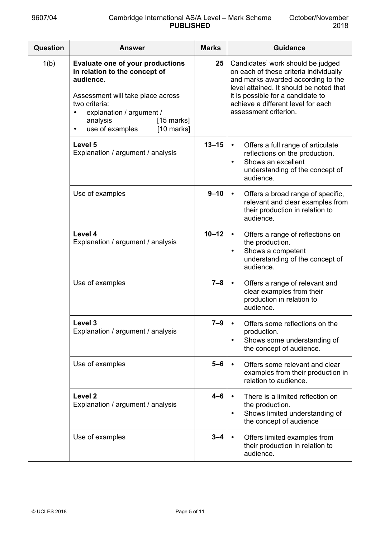| Question | <b>Answer</b>                                                                                                                                                                                                                                       | <b>Marks</b> | <b>Guidance</b>                                                                                                                                                                                                                                                  |
|----------|-----------------------------------------------------------------------------------------------------------------------------------------------------------------------------------------------------------------------------------------------------|--------------|------------------------------------------------------------------------------------------------------------------------------------------------------------------------------------------------------------------------------------------------------------------|
| 1(b)     | <b>Evaluate one of your productions</b><br>in relation to the concept of<br>audience.<br>Assessment will take place across<br>two criteria:<br>explanation / argument /<br>analysis<br>$[15$ marks]<br>use of examples<br>$[10$ marks]<br>$\bullet$ | 25           | Candidates' work should be judged<br>on each of these criteria individually<br>and marks awarded according to the<br>level attained. It should be noted that<br>it is possible for a candidate to<br>achieve a different level for each<br>assessment criterion. |
|          | Level 5<br>Explanation / argument / analysis                                                                                                                                                                                                        | $13 - 15$    | Offers a full range of articulate<br>reflections on the production.<br>Shows an excellent<br>$\bullet$<br>understanding of the concept of<br>audience.                                                                                                           |
|          | Use of examples                                                                                                                                                                                                                                     | $9 - 10$     | Offers a broad range of specific,<br>$\bullet$<br>relevant and clear examples from<br>their production in relation to<br>audience.                                                                                                                               |
|          | Level 4<br>Explanation / argument / analysis                                                                                                                                                                                                        | $10 - 12$    | Offers a range of reflections on<br>$\bullet$<br>the production.<br>Shows a competent<br>understanding of the concept of<br>audience.                                                                                                                            |
|          | Use of examples                                                                                                                                                                                                                                     | $7 - 8$      | Offers a range of relevant and<br>$\bullet$<br>clear examples from their<br>production in relation to<br>audience.                                                                                                                                               |
|          | Level 3<br>Explanation / argument / analysis                                                                                                                                                                                                        | $7 - 9$      | Offers some reflections on the<br>production.<br>Shows some understanding of<br>the concept of audience.                                                                                                                                                         |
|          | Use of examples                                                                                                                                                                                                                                     | $5 - 6$      | Offers some relevant and clear<br>examples from their production in<br>relation to audience.                                                                                                                                                                     |
|          | Level <sub>2</sub><br>Explanation / argument / analysis                                                                                                                                                                                             | $4 - 6$      | There is a limited reflection on<br>the production.<br>Shows limited understanding of<br>$\bullet$<br>the concept of audience                                                                                                                                    |
|          | Use of examples                                                                                                                                                                                                                                     | $3 - 4$      | Offers limited examples from<br>their production in relation to<br>audience.                                                                                                                                                                                     |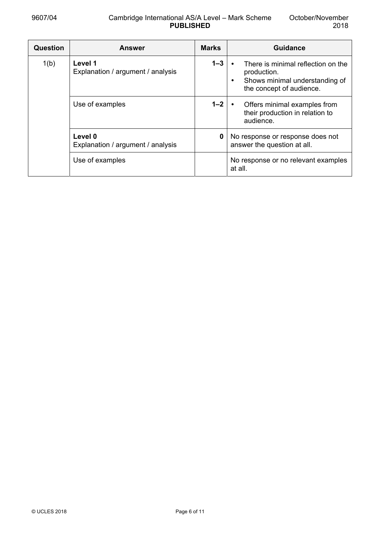| Question | <b>Answer</b>                                | <b>Marks</b> | Guidance                                                                                                             |
|----------|----------------------------------------------|--------------|----------------------------------------------------------------------------------------------------------------------|
| 1(b)     | Level 1<br>Explanation / argument / analysis | $1 - 3$      | There is minimal reflection on the<br>production.<br>Shows minimal understanding of<br>٠<br>the concept of audience. |
|          | Use of examples                              | $1 - 2$      | Offers minimal examples from<br>their production in relation to<br>audience.                                         |
|          | Level 0<br>Explanation / argument / analysis | 0            | No response or response does not<br>answer the question at all.                                                      |
|          | Use of examples                              |              | No response or no relevant examples<br>at all.                                                                       |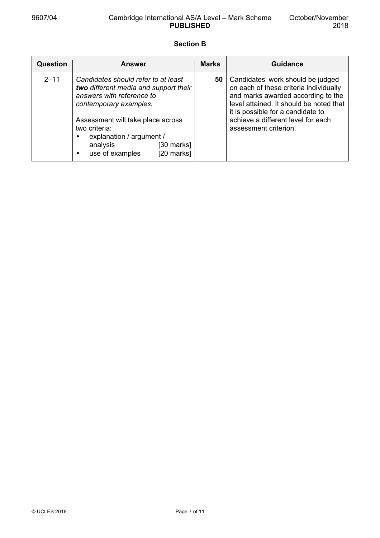## **Section B**

| <b>Question</b> | Answer                                                                                                                                                                                                                                                                           | <b>Marks</b> | <b>Guidance</b>                                                                                                                                                                                                                                                  |
|-----------------|----------------------------------------------------------------------------------------------------------------------------------------------------------------------------------------------------------------------------------------------------------------------------------|--------------|------------------------------------------------------------------------------------------------------------------------------------------------------------------------------------------------------------------------------------------------------------------|
| $2 - 11$        | Candidates should refer to at least<br>two different media and support their<br>answers with reference to<br>contemporary examples.<br>Assessment will take place across<br>two criteria:<br>explanation / argument /<br>analysis<br>[30 marks]<br>[20 marks]<br>use of examples | 50           | Candidates' work should be judged<br>on each of these criteria individually<br>and marks awarded according to the<br>level attained. It should be noted that<br>it is possible for a candidate to<br>achieve a different level for each<br>assessment criterion. |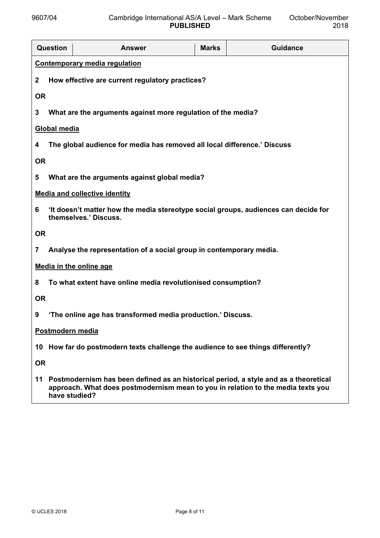|                  | <b>Question</b>                                                                  | <b>Answer</b>                                                                                                                                                            | <b>Marks</b> | <b>Guidance</b> |
|------------------|----------------------------------------------------------------------------------|--------------------------------------------------------------------------------------------------------------------------------------------------------------------------|--------------|-----------------|
|                  |                                                                                  | <b>Contemporary media regulation</b>                                                                                                                                     |              |                 |
| $\mathbf{2}$     |                                                                                  | How effective are current regulatory practices?                                                                                                                          |              |                 |
| <b>OR</b>        |                                                                                  |                                                                                                                                                                          |              |                 |
| 3                |                                                                                  | What are the arguments against more regulation of the media?                                                                                                             |              |                 |
|                  | <b>Global media</b>                                                              |                                                                                                                                                                          |              |                 |
| 4                |                                                                                  | The global audience for media has removed all local difference.' Discuss                                                                                                 |              |                 |
| <b>OR</b>        |                                                                                  |                                                                                                                                                                          |              |                 |
| 5                |                                                                                  | What are the arguments against global media?                                                                                                                             |              |                 |
|                  |                                                                                  | <b>Media and collective identity</b>                                                                                                                                     |              |                 |
| 6                |                                                                                  | 'It doesn't matter how the media stereotype social groups, audiences can decide for<br>themselves.' Discuss.                                                             |              |                 |
| <b>OR</b>        |                                                                                  |                                                                                                                                                                          |              |                 |
| 7                |                                                                                  | Analyse the representation of a social group in contemporary media.                                                                                                      |              |                 |
|                  |                                                                                  | <b>Media in the online age</b>                                                                                                                                           |              |                 |
| 8                |                                                                                  | To what extent have online media revolutionised consumption?                                                                                                             |              |                 |
|                  | <b>OR</b>                                                                        |                                                                                                                                                                          |              |                 |
| 9                | 'The online age has transformed media production.' Discuss.                      |                                                                                                                                                                          |              |                 |
| Postmodern media |                                                                                  |                                                                                                                                                                          |              |                 |
|                  | 10 How far do postmodern texts challenge the audience to see things differently? |                                                                                                                                                                          |              |                 |
| <b>OR</b>        |                                                                                  |                                                                                                                                                                          |              |                 |
| 11               | have studied?                                                                    | Postmodernism has been defined as an historical period, a style and as a theoretical<br>approach. What does postmodernism mean to you in relation to the media texts you |              |                 |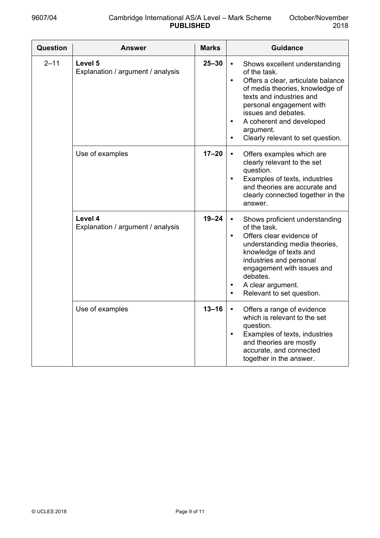| Question | <b>Answer</b>                                | <b>Marks</b> | <b>Guidance</b>                                                                                                                                                                                                                                                                                                            |
|----------|----------------------------------------------|--------------|----------------------------------------------------------------------------------------------------------------------------------------------------------------------------------------------------------------------------------------------------------------------------------------------------------------------------|
| $2 - 11$ | Level 5<br>Explanation / argument / analysis | $25 - 30$    | Shows excellent understanding<br>of the task.<br>Offers a clear, articulate balance<br>$\bullet$<br>of media theories, knowledge of<br>texts and industries and<br>personal engagement with<br>issues and debates.<br>A coherent and developed<br>$\bullet$<br>argument.<br>Clearly relevant to set question.<br>$\bullet$ |
|          | Use of examples                              | $17 - 20$    | Offers examples which are<br>clearly relevant to the set<br>question.<br>Examples of texts, industries<br>$\bullet$<br>and theories are accurate and<br>clearly connected together in the<br>answer.                                                                                                                       |
|          | Level 4<br>Explanation / argument / analysis | $19 - 24$    | Shows proficient understanding<br>of the task.<br>Offers clear evidence of<br>$\bullet$<br>understanding media theories,<br>knowledge of texts and<br>industries and personal<br>engagement with issues and<br>debates.<br>A clear argument.<br>Relevant to set question.                                                  |
|          | Use of examples                              | $13 - 16$    | Offers a range of evidence<br>which is relevant to the set<br>question.<br>Examples of texts, industries<br>$\bullet$<br>and theories are mostly<br>accurate, and connected<br>together in the answer.                                                                                                                     |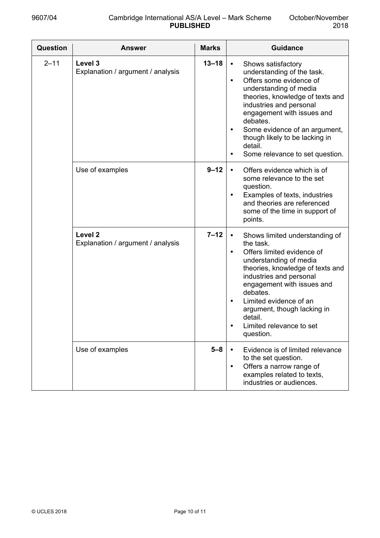| <b>Question</b> | <b>Answer</b>                                           | <b>Marks</b> | <b>Guidance</b>                                                                                                                                                                                                                                                                                                                                                        |
|-----------------|---------------------------------------------------------|--------------|------------------------------------------------------------------------------------------------------------------------------------------------------------------------------------------------------------------------------------------------------------------------------------------------------------------------------------------------------------------------|
| $2 - 11$        | Level 3<br>Explanation / argument / analysis            | $13 - 18$    | Shows satisfactory<br>understanding of the task.<br>Offers some evidence of<br>$\bullet$<br>understanding of media<br>theories, knowledge of texts and<br>industries and personal<br>engagement with issues and<br>debates.<br>Some evidence of an argument,<br>$\bullet$<br>though likely to be lacking in<br>detail.<br>Some relevance to set question.<br>$\bullet$ |
|                 | Use of examples                                         | $9 - 12$     | Offers evidence which is of<br>$\bullet$<br>some relevance to the set<br>question.<br>Examples of texts, industries<br>$\bullet$<br>and theories are referenced<br>some of the time in support of<br>points.                                                                                                                                                           |
|                 | Level <sub>2</sub><br>Explanation / argument / analysis | $7 - 12$     | Shows limited understanding of<br>$\bullet$<br>the task.<br>Offers limited evidence of<br>understanding of media<br>theories, knowledge of texts and<br>industries and personal<br>engagement with issues and<br>debates.<br>Limited evidence of an<br>argument, though lacking in<br>detail.<br>Limited relevance to set<br>question.                                 |
|                 | Use of examples                                         | $5 - 8$      | Evidence is of limited relevance<br>to the set question.<br>Offers a narrow range of<br>examples related to texts,<br>industries or audiences.                                                                                                                                                                                                                         |